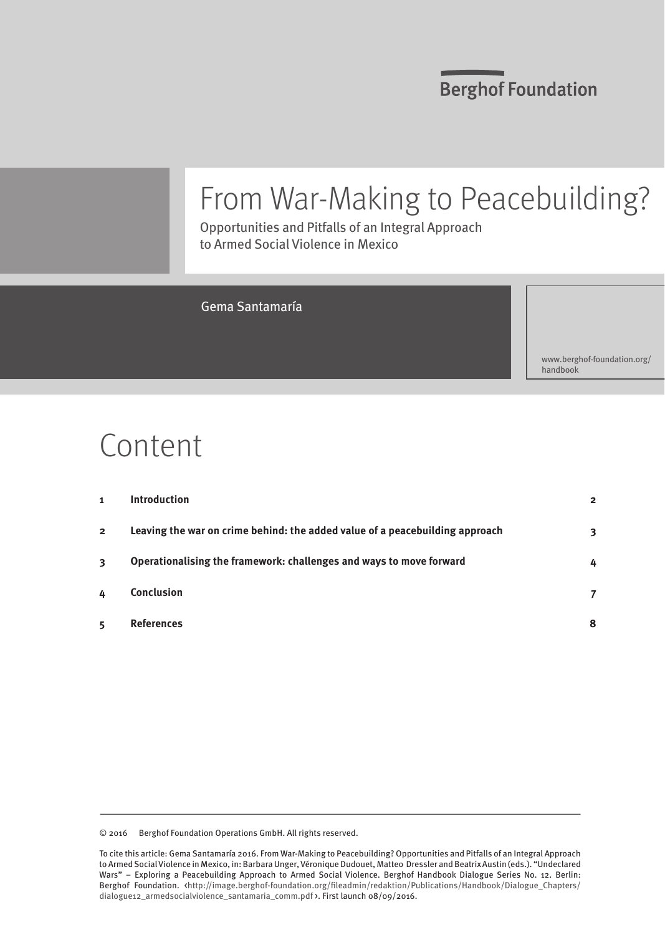**Berghof Foundation** 

## From War-Making to Peacebuilding?

Opportunities and Pitfalls of an Integral Approach to Armed Social Violence in Mexico

### Gema Santamaría

[www.berghof-foundation.org/](www.berghof-foundation.org/handbook) [handbook](www.berghof-foundation.org/handbook)

## Content

| 1              | <b>Introduction</b>                                                          | $\overline{2}$ |
|----------------|------------------------------------------------------------------------------|----------------|
| $\overline{2}$ | Leaving the war on crime behind: the added value of a peacebuilding approach | 3              |
| 3              | Operationalising the framework: challenges and ways to move forward          | 4              |
| 4              | <b>Conclusion</b>                                                            |                |
| 5              | <b>References</b>                                                            | 8              |

© 2016 Berghof Foundation Operations GmbH. All rights reserved.

To cite this article: Gema Santamaría 2016. From War-Making to Peacebuilding? Opportunities and Pitfalls of an Integral Approach to Armed Social Violence in Mexico, in: Barbara Unger, Véronique Dudouet, Matteo Dressler and Beatrix Austin (eds.). "Undeclared Wars" – Exploring a Peacebuilding Approach to Armed Social Violence. Berghof Handbook Dialogue Series No. 12. Berlin: Berghof Foundation. [<http://image.berghof-foundation.org/fileadmin/redaktion/Publications/Handbook/Dialogue\\_Chapters/](http://image.berghof-foundation.org/fileadmin/redaktion/Publications/Handbook/Dialogue_Chapters/dialogue12_armedsocialviolence_lead.pdf) [dialogue12\\_armedsocialviolence\\_santamaria\\_comm.pdf](http://image.berghof-foundation.org/fileadmin/redaktion/Publications/Handbook/Dialogue_Chapters/dialogue12_armedsocialviolence_lead.pdf) >. First launch 08/09/2016.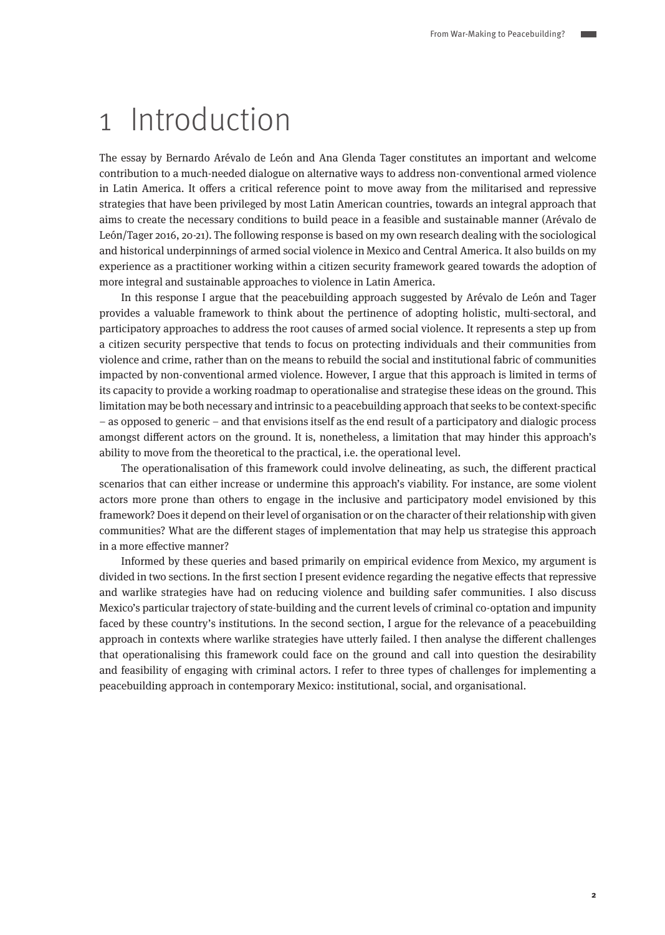## <span id="page-1-0"></span>1 Introduction

The essay by Bernardo Arévalo de León and Ana Glenda Tager constitutes an important and welcome contribution to a much-needed dialogue on alternative ways to address non-conventional armed violence in Latin America. It offers a critical reference point to move away from the militarised and repressive strategies that have been privileged by most Latin American countries, towards an integral approach that aims to create the necessary conditions to build peace in a feasible and sustainable manner (Arévalo de León/Tager 2016, 20-21). The following response is based on my own research dealing with the sociological and historical underpinnings of armed social violence in Mexico and Central America. It also builds on my experience as a practitioner working within a citizen security framework geared towards the adoption of more integral and sustainable approaches to violence in Latin America.

In this response I argue that the peacebuilding approach suggested by Arévalo de León and Tager provides a valuable framework to think about the pertinence of adopting holistic, multi-sectoral, and participatory approaches to address the root causes of armed social violence. It represents a step up from a citizen security perspective that tends to focus on protecting individuals and their communities from violence and crime, rather than on the means to rebuild the social and institutional fabric of communities impacted by non-conventional armed violence. However, I argue that this approach is limited in terms of its capacity to provide a working roadmap to operationalise and strategise these ideas on the ground. This limitation may be both necessary and intrinsic to a peacebuilding approach that seeks to be context-specific – as opposed to generic – and that envisions itself as the end result of a participatory and dialogic process amongst different actors on the ground. It is, nonetheless, a limitation that may hinder this approach's ability to move from the theoretical to the practical, i.e. the operational level.

The operationalisation of this framework could involve delineating, as such, the different practical scenarios that can either increase or undermine this approach's viability. For instance, are some violent actors more prone than others to engage in the inclusive and participatory model envisioned by this framework? Does it depend on their level of organisation or on the character of their relationship with given communities? What are the different stages of implementation that may help us strategise this approach in a more effective manner?

Informed by these queries and based primarily on empirical evidence from Mexico, my argument is divided in two sections. In the first section I present evidence regarding the negative effects that repressive and warlike strategies have had on reducing violence and building safer communities. I also discuss Mexico's particular trajectory of state-building and the current levels of criminal co-optation and impunity faced by these country's institutions. In the second section, I argue for the relevance of a peacebuilding approach in contexts where warlike strategies have utterly failed. I then analyse the different challenges that operationalising this framework could face on the ground and call into question the desirability and feasibility of engaging with criminal actors. I refer to three types of challenges for implementing a peacebuilding approach in contemporary Mexico: institutional, social, and organisational.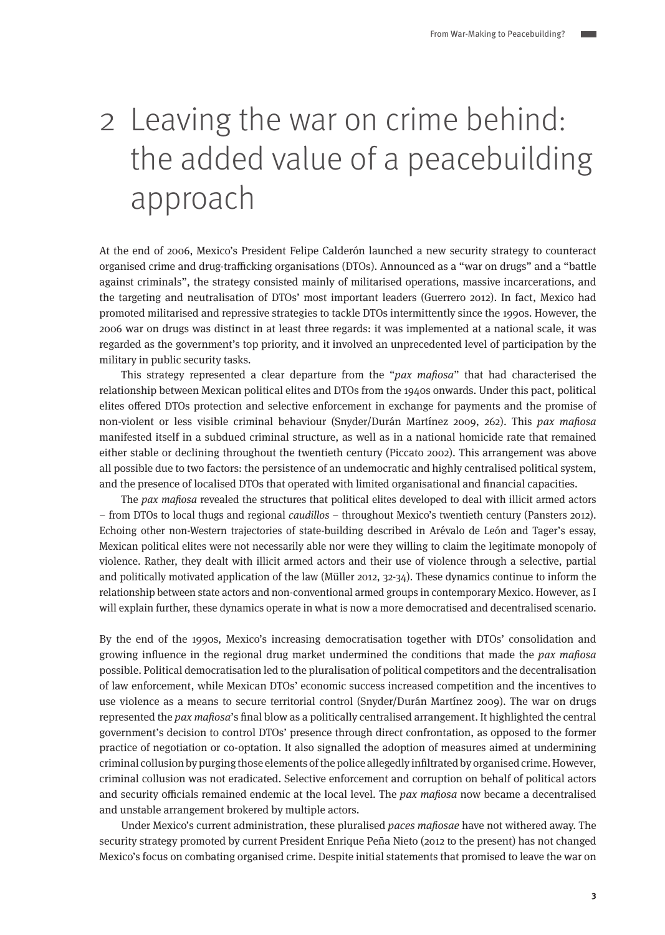# <span id="page-2-0"></span>2 Leaving the war on crime behind: the added value of a peacebuilding approach

At the end of 2006, Mexico's President Felipe Calderón launched a new security strategy to counteract organised crime and drug-trafficking organisations (DTOs). Announced as a "war on drugs" and a "battle against criminals", the strategy consisted mainly of militarised operations, massive incarcerations, and the targeting and neutralisation of DTOs' most important leaders (Guerrero 2012). In fact, Mexico had promoted militarised and repressive strategies to tackle DTOs intermittently since the 1990s. However, the 2006 war on drugs was distinct in at least three regards: it was implemented at a national scale, it was regarded as the government's top priority, and it involved an unprecedented level of participation by the military in public security tasks.

This strategy represented a clear departure from the " $pax$  mafiosa" that had characterised the relationship between Mexican political elites and DTOs from the 1940s onwards. Under this pact, political elites offered DTOs protection and selective enforcement in exchange for payments and the promise of non-violent or less visible criminal behaviour (Snyder/Durán Martínez 2009, 262). This pax mafiosa manifested itself in a subdued criminal structure, as well as in a national homicide rate that remained either stable or declining throughout the twentieth century (Piccato 2002). This arrangement was above all possible due to two factors: the persistence of an undemocratic and highly centralised political system, and the presence of localised DTOs that operated with limited organisational and financial capacities.

The pax mafiosa revealed the structures that political elites developed to deal with illicit armed actors – from DTOs to local thugs and regional caudillos – throughout Mexico's twentieth century (Pansters 2012). Echoing other non-Western trajectories of state-building described in Arévalo de León and Tager's essay, Mexican political elites were not necessarily able nor were they willing to claim the legitimate monopoly of violence. Rather, they dealt with illicit armed actors and their use of violence through a selective, partial and politically motivated application of the law (Müller 2012, 32-34). These dynamics continue to inform the relationship between state actors and non-conventional armed groups in contemporary Mexico. However, as I will explain further, these dynamics operate in what is now a more democratised and decentralised scenario.

By the end of the 1990s, Mexico's increasing democratisation together with DTOs' consolidation and growing influence in the regional drug market undermined the conditions that made the pax mafiosa possible. Political democratisation led to the pluralisation of political competitors and the decentralisation of law enforcement, while Mexican DTOs' economic success increased competition and the incentives to use violence as a means to secure territorial control (Snyder/Durán Martínez 2009). The war on drugs represented the pax mafiosa's final blow as a politically centralised arrangement. It highlighted the central government's decision to control DTOs' presence through direct confrontation, as opposed to the former practice of negotiation or co-optation. It also signalled the adoption of measures aimed at undermining criminal collusion by purging those elements of the police allegedly infiltrated by organised crime. However, criminal collusion was not eradicated. Selective enforcement and corruption on behalf of political actors and security officials remained endemic at the local level. The pax mafiosa now became a decentralised and unstable arrangement brokered by multiple actors.

Under Mexico's current administration, these pluralised paces mafiosae have not withered away. The security strategy promoted by current President Enrique Peña Nieto (2012 to the present) has not changed Mexico's focus on combating organised crime. Despite initial statements that promised to leave the war on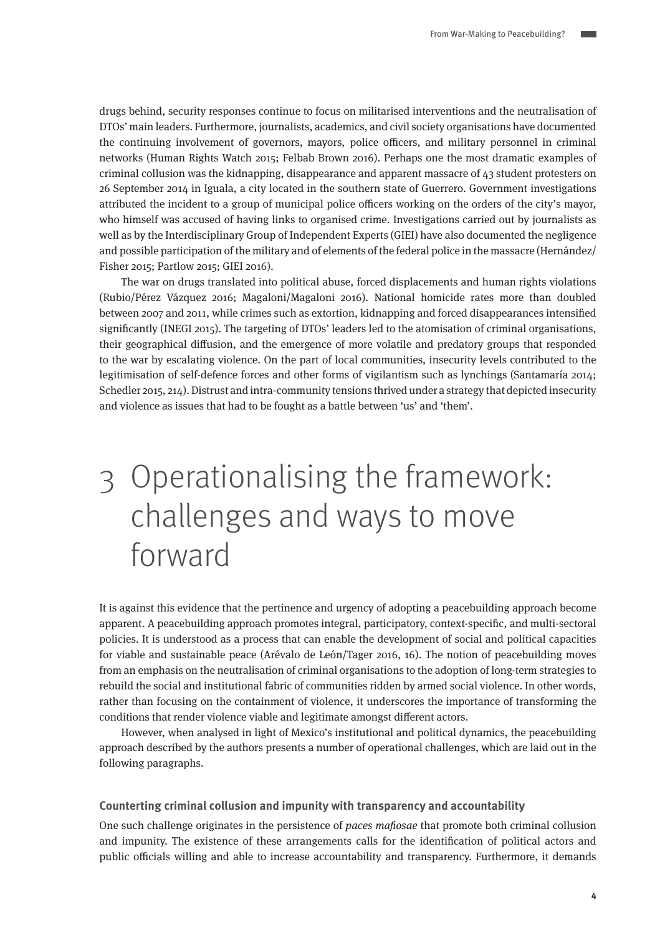<span id="page-3-0"></span>drugs behind, security responses continue to focus on militarised interventions and the neutralisation of DTOs' main leaders. Furthermore, journalists, academics, and civil society organisations have documented the continuing involvement of governors, mayors, police officers, and military personnel in criminal networks (Human Rights Watch 2015; Felbab Brown 2016). Perhaps one the most dramatic examples of criminal collusion was the kidnapping, disappearance and apparent massacre of 43 student protesters on 26 September 2014 in Iguala, a city located in the southern state of Guerrero. Government investigations attributed the incident to a group of municipal police officers working on the orders of the city's mayor, who himself was accused of having links to organised crime. Investigations carried out by journalists as well as by the Interdisciplinary Group of Independent Experts (GIEI) have also documented the negligence and possible participation of the military and of elements of the federal police in the massacre (Hernández/ Fisher 2015; Partlow 2015; GIEI 2016).

The war on drugs translated into political abuse, forced displacements and human rights violations (Rubio/Pérez Vázquez 2016; Magaloni/Magaloni 2016). National homicide rates more than doubled between 2007 and 2011, while crimes such as extortion, kidnapping and forced disappearances intensified significantly (INEGI 2015). The targeting of DTOs' leaders led to the atomisation of criminal organisations, their geographical diffusion, and the emergence of more volatile and predatory groups that responded to the war by escalating violence. On the part of local communities, insecurity levels contributed to the legitimisation of self-defence forces and other forms of vigilantism such as lynchings (Santamaría 2014; Schedler 2015, 214). Distrust and intra-community tensions thrived under a strategy that depicted insecurity and violence as issues that had to be fought as a battle between 'us' and 'them'.

# 3 Operationalising the framework: challenges and ways to move forward

It is against this evidence that the pertinence and urgency of adopting a peacebuilding approach become apparent. A peacebuilding approach promotes integral, participatory, context-specific, and multi-sectoral policies. It is understood as a process that can enable the development of social and political capacities for viable and sustainable peace (Arévalo de León/Tager 2016, 16). The notion of peacebuilding moves from an emphasis on the neutralisation of criminal organisations to the adoption of long-term strategies to rebuild the social and institutional fabric of communities ridden by armed social violence. In other words, rather than focusing on the containment of violence, it underscores the importance of transforming the conditions that render violence viable and legitimate amongst different actors.

However, when analysed in light of Mexico's institutional and political dynamics, the peacebuilding approach described by the authors presents a number of operational challenges, which are laid out in the following paragraphs.

#### **Counterting criminal collusion and impunity with transparency and accountability**

One such challenge originates in the persistence of *paces mafiosae* that promote both criminal collusion and impunity. The existence of these arrangements calls for the identification of political actors and public officials willing and able to increase accountability and transparency. Furthermore, it demands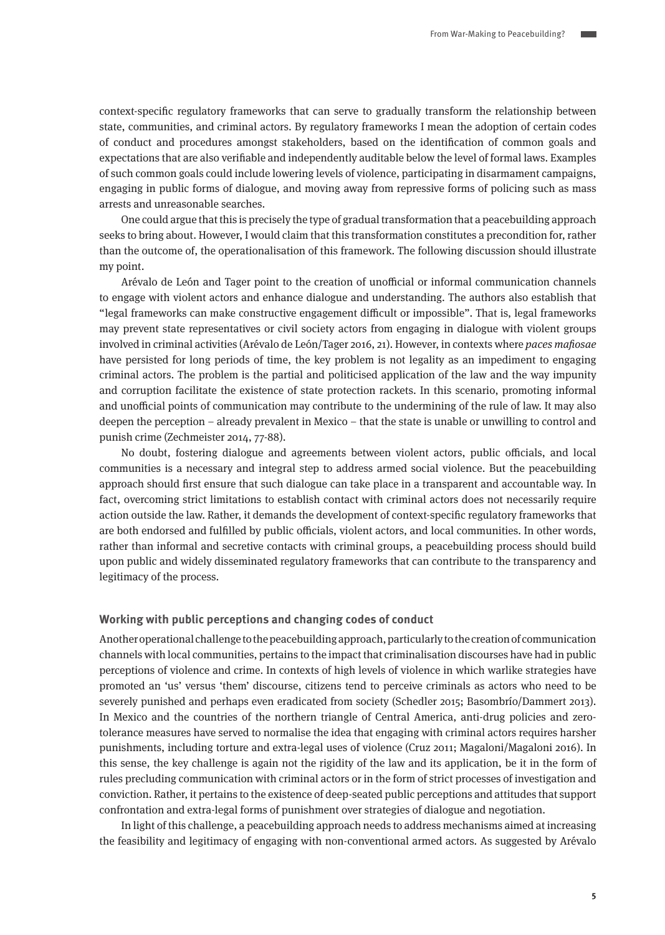context-specific regulatory frameworks that can serve to gradually transform the relationship between state, communities, and criminal actors. By regulatory frameworks I mean the adoption of certain codes of conduct and procedures amongst stakeholders, based on the identification of common goals and expectations that are also verifiable and independently auditable below the level of formal laws. Examples of such common goals could include lowering levels of violence, participating in disarmament campaigns, engaging in public forms of dialogue, and moving away from repressive forms of policing such as mass arrests and unreasonable searches.

One could argue that this is precisely the type of gradual transformation that a peacebuilding approach seeks to bring about. However, I would claim that this transformation constitutes a precondition for, rather than the outcome of, the operationalisation of this framework. The following discussion should illustrate my point.

Arévalo de León and Tager point to the creation of unofficial or informal communication channels to engage with violent actors and enhance dialogue and understanding. The authors also establish that "legal frameworks can make constructive engagement difficult or impossible". That is, legal frameworks may prevent state representatives or civil society actors from engaging in dialogue with violent groups involved in criminal activities (Arévalo de León/Tager 2016, 21). However, in contexts where paces mafiosae have persisted for long periods of time, the key problem is not legality as an impediment to engaging criminal actors. The problem is the partial and politicised application of the law and the way impunity and corruption facilitate the existence of state protection rackets. In this scenario, promoting informal and unofficial points of communication may contribute to the undermining of the rule of law. It may also deepen the perception – already prevalent in Mexico – that the state is unable or unwilling to control and punish crime (Zechmeister 2014, 77-88).

No doubt, fostering dialogue and agreements between violent actors, public officials, and local communities is a necessary and integral step to address armed social violence. But the peacebuilding approach should first ensure that such dialogue can take place in a transparent and accountable way. In fact, overcoming strict limitations to establish contact with criminal actors does not necessarily require action outside the law. Rather, it demands the development of context-specific regulatory frameworks that are both endorsed and fulfilled by public officials, violent actors, and local communities. In other words, rather than informal and secretive contacts with criminal groups, a peacebuilding process should build upon public and widely disseminated regulatory frameworks that can contribute to the transparency and legitimacy of the process.

#### **Working with public perceptions and changing codes of conduct**

Another operational challenge to the peacebuilding approach, particularly to the creation of communication channels with local communities, pertains to the impact that criminalisation discourses have had in public perceptions of violence and crime. In contexts of high levels of violence in which warlike strategies have promoted an 'us' versus 'them' discourse, citizens tend to perceive criminals as actors who need to be severely punished and perhaps even eradicated from society (Schedler 2015; Basombrío/Dammert 2013). In Mexico and the countries of the northern triangle of Central America, anti-drug policies and zerotolerance measures have served to normalise the idea that engaging with criminal actors requires harsher punishments, including torture and extra-legal uses of violence (Cruz 2011; Magaloni/Magaloni 2016). In this sense, the key challenge is again not the rigidity of the law and its application, be it in the form of rules precluding communication with criminal actors or in the form of strict processes of investigation and conviction. Rather, it pertains to the existence of deep-seated public perceptions and attitudes that support confrontation and extra-legal forms of punishment over strategies of dialogue and negotiation.

In light of this challenge, a peacebuilding approach needs to address mechanisms aimed at increasing the feasibility and legitimacy of engaging with non-conventional armed actors. As suggested by Arévalo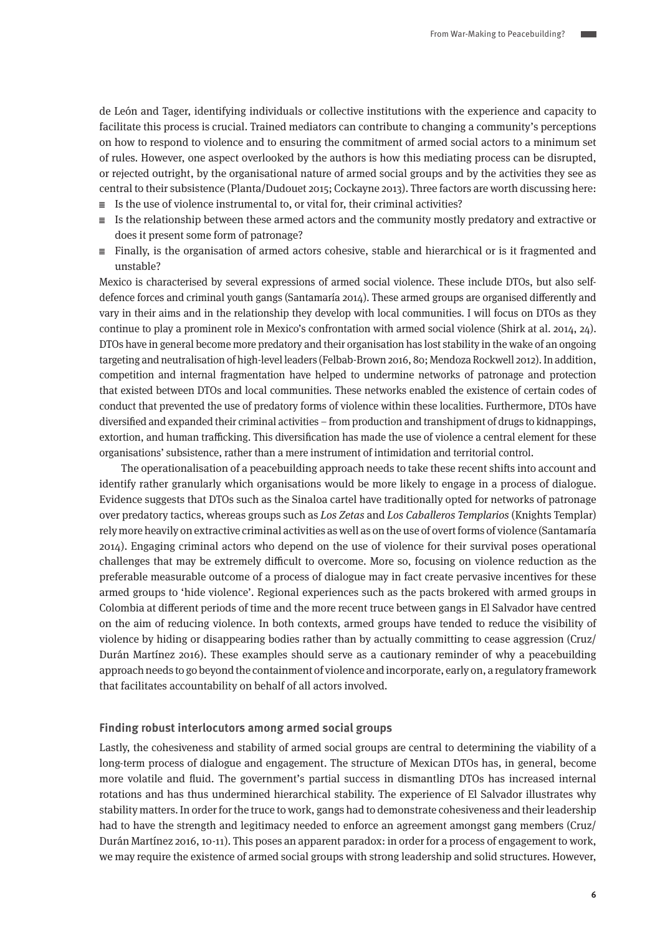de León and Tager, identifying individuals or collective institutions with the experience and capacity to facilitate this process is crucial. Trained mediators can contribute to changing a community's perceptions on how to respond to violence and to ensuring the commitment of armed social actors to a minimum set of rules. However, one aspect overlooked by the authors is how this mediating process can be disrupted, or rejected outright, by the organisational nature of armed social groups and by the activities they see as central to their subsistence (Planta/Dudouet 2015; Cockayne 2013). Three factors are worth discussing here:

- $\equiv$  Is the use of violence instrumental to, or vital for, their criminal activities?
- $\equiv$  Is the relationship between these armed actors and the community mostly predatory and extractive or does it present some form of patronage?
- $\equiv$  Finally, is the organisation of armed actors cohesive, stable and hierarchical or is it fragmented and unstable?

Mexico is characterised by several expressions of armed social violence. These include DTOs, but also selfdefence forces and criminal youth gangs (Santamaría 2014). These armed groups are organised differently and vary in their aims and in the relationship they develop with local communities. I will focus on DTOs as they continue to play a prominent role in Mexico's confrontation with armed social violence (Shirk at al. 2014, 24). DTOs have in general become more predatory and their organisation has lost stability in the wake of an ongoing targeting and neutralisation of high-level leaders (Felbab-Brown 2016, 80; Mendoza Rockwell 2012). In addition, competition and internal fragmentation have helped to undermine networks of patronage and protection that existed between DTOs and local communities. These networks enabled the existence of certain codes of conduct that prevented the use of predatory forms of violence within these localities. Furthermore, DTOs have diversified and expanded their criminal activities – from production and transhipment of drugs to kidnappings, extortion, and human trafficking. This diversification has made the use of violence a central element for these organisations' subsistence, rather than a mere instrument of intimidation and territorial control.

The operationalisation of a peacebuilding approach needs to take these recent shifts into account and identify rather granularly which organisations would be more likely to engage in a process of dialogue. Evidence suggests that DTOs such as the Sinaloa cartel have traditionally opted for networks of patronage over predatory tactics, whereas groups such as Los Zetas and Los Caballeros Templarios (Knights Templar) rely more heavily on extractive criminal activities as well as on the use of overt forms of violence (Santamaría 2014). Engaging criminal actors who depend on the use of violence for their survival poses operational challenges that may be extremely difficult to overcome. More so, focusing on violence reduction as the preferable measurable outcome of a process of dialogue may in fact create pervasive incentives for these armed groups to 'hide violence'. Regional experiences such as the pacts brokered with armed groups in Colombia at different periods of time and the more recent truce between gangs in El Salvador have centred on the aim of reducing violence. In both contexts, armed groups have tended to reduce the visibility of violence by hiding or disappearing bodies rather than by actually committing to cease aggression (Cruz/ Durán Martínez 2016). These examples should serve as a cautionary reminder of why a peacebuilding approach needs to go beyond the containment of violence and incorporate, early on, a regulatory framework that facilitates accountability on behalf of all actors involved.

#### **Finding robust interlocutors among armed social groups**

Lastly, the cohesiveness and stability of armed social groups are central to determining the viability of a long-term process of dialogue and engagement. The structure of Mexican DTOs has, in general, become more volatile and fluid. The government's partial success in dismantling DTOs has increased internal rotations and has thus undermined hierarchical stability. The experience of El Salvador illustrates why stability matters. In order for the truce to work, gangs had to demonstrate cohesiveness and their leadership had to have the strength and legitimacy needed to enforce an agreement amongst gang members (Cruz/ Durán Martínez 2016, 10-11). This poses an apparent paradox: in order for a process of engagement to work, we may require the existence of armed social groups with strong leadership and solid structures. However,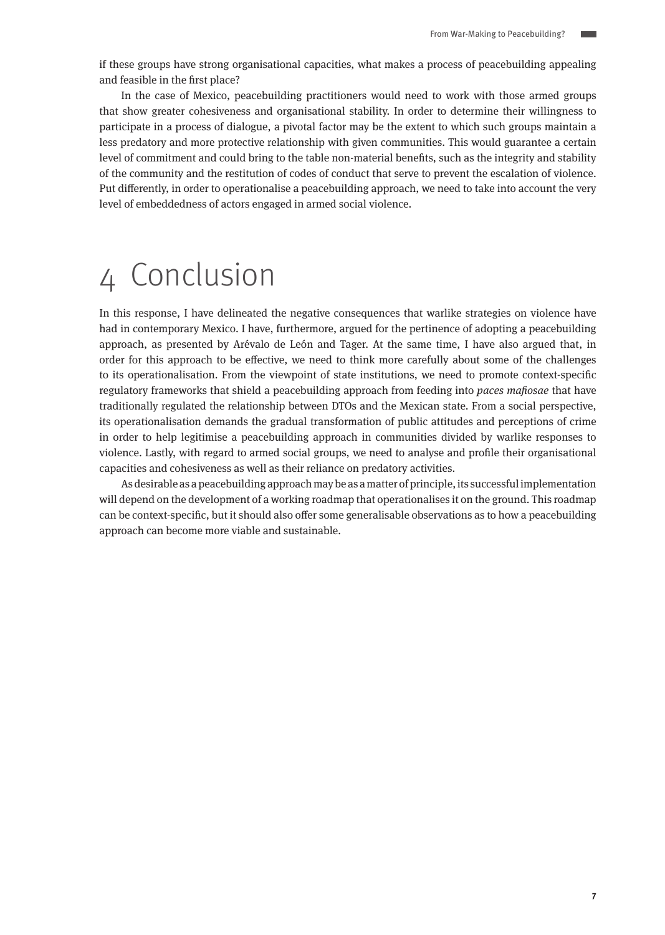<span id="page-6-0"></span>if these groups have strong organisational capacities, what makes a process of peacebuilding appealing and feasible in the first place?

In the case of Mexico, peacebuilding practitioners would need to work with those armed groups that show greater cohesiveness and organisational stability. In order to determine their willingness to participate in a process of dialogue, a pivotal factor may be the extent to which such groups maintain a less predatory and more protective relationship with given communities. This would guarantee a certain level of commitment and could bring to the table non-material benefits, such as the integrity and stability of the community and the restitution of codes of conduct that serve to prevent the escalation of violence. Put differently, in order to operationalise a peacebuilding approach, we need to take into account the very level of embeddedness of actors engaged in armed social violence.

## 4 Conclusion

In this response, I have delineated the negative consequences that warlike strategies on violence have had in contemporary Mexico. I have, furthermore, argued for the pertinence of adopting a peacebuilding approach, as presented by Arévalo de León and Tager. At the same time, I have also argued that, in order for this approach to be effective, we need to think more carefully about some of the challenges to its operationalisation. From the viewpoint of state institutions, we need to promote context-specific regulatory frameworks that shield a peacebuilding approach from feeding into paces mafiosae that have traditionally regulated the relationship between DTOs and the Mexican state. From a social perspective, its operationalisation demands the gradual transformation of public attitudes and perceptions of crime in order to help legitimise a peacebuilding approach in communities divided by warlike responses to violence. Lastly, with regard to armed social groups, we need to analyse and profile their organisational capacities and cohesiveness as well as their reliance on predatory activities.

As desirable as a peacebuilding approach may be as a matter of principle, its successful implementation will depend on the development of a working roadmap that operationalises it on the ground. This roadmap can be context-specific, but it should also offer some generalisable observations as to how a peacebuilding approach can become more viable and sustainable.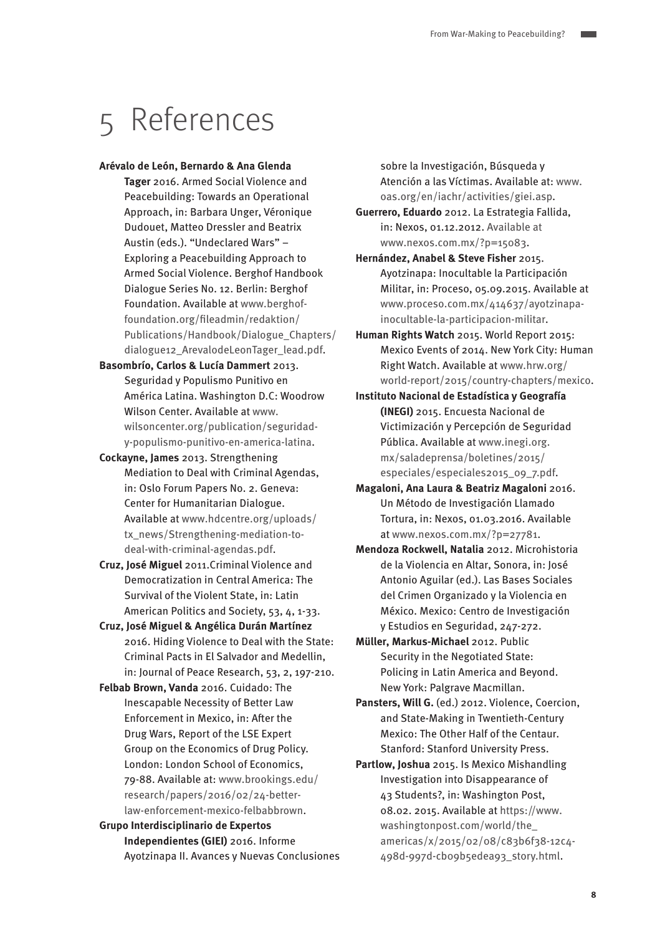## 5 References

#### **Arévalo de León, Bernardo & Ana Glenda**

- **Tager** 2016. Armed Social Violence and Peacebuilding: Towards an Operational Approach, in: Barbara Unger, Véronique Dudouet, Matteo Dressler and Beatrix Austin (eds.). "Undeclared Wars" – Exploring a Peacebuilding Approach to Armed Social Violence. Berghof Handbook Dialogue Series No. 12. Berlin: Berghof Foundation. Available at [www.berghof](http://www.berghof-foundation.org/fileadmin/redaktion/Publications/Handbook/Dialogue_Chapters/dialogue12_ArevalodeLeonTager_lead.pdf)[foundation.org/fileadmin/redaktion/](http://www.berghof-foundation.org/fileadmin/redaktion/Publications/Handbook/Dialogue_Chapters/dialogue12_ArevalodeLeonTager_lead.pdf) [Publications/Handbook/Dialogue\\_Chapters/](http://www.berghof-foundation.org/fileadmin/redaktion/Publications/Handbook/Dialogue_Chapters/dialogue12_ArevalodeLeonTager_lead.pdf) [dialogue12\\_ArevalodeLeonTager\\_lead.pdf](http://www.berghof-foundation.org/fileadmin/redaktion/Publications/Handbook/Dialogue_Chapters/dialogue12_ArevalodeLeonTager_lead.pdf).
- **Basombrío, Carlos & Lucía Dammert** 2013. Seguridad y Populismo Punitivo en América Latina. Washington D.C: Woodrow Wilson Center. Available at [www.](http://www.wilsoncenter.org/publication/seguridad-y-populismo-punitivo-en-america-latina) [wilsoncenter.org/publication/seguridad](http://www.wilsoncenter.org/publication/seguridad-y-populismo-punitivo-en-america-latina)[y-populismo-punitivo-en-america-latina](http://www.wilsoncenter.org/publication/seguridad-y-populismo-punitivo-en-america-latina).
- **Cockayne, James** 2013. Strengthening Mediation to Deal with Criminal Agendas, in: Oslo Forum Papers No. 2. Geneva: Center for Humanitarian Dialogue. Available at [www.hdcentre.org/uploads/](http://www.hdcentre.org/uploads/tx_news/Strengthening-mediation-to-deal-with-criminal-agendas.pdf) [tx\\_news/Strengthening-mediation-to](http://www.hdcentre.org/uploads/tx_news/Strengthening-mediation-to-deal-with-criminal-agendas.pdf)[deal-with-criminal-agendas.pdf.](http://www.hdcentre.org/uploads/tx_news/Strengthening-mediation-to-deal-with-criminal-agendas.pdf)
- **Cruz, José Miguel** 2011.Criminal Violence and Democratization in Central America: The Survival of the Violent State, in: Latin American Politics and Society, 53, 4, 1-33.
- **Cruz, José Miguel & Angélica Durán Martínez** 2016. Hiding Violence to Deal with the State: Criminal Pacts in El Salvador and Medellin, in: Journal of Peace Research, 53, 2, 197-210.
- **Felbab Brown, Vanda** 2016. Cuidado: The Inescapable Necessity of Better Law Enforcement in Mexico, in: After the Drug Wars, Report of the LSE Expert Group on the Economics of Drug Policy. London: London School of Economics, 79-88. Available at: [www.brookings.edu/](http://www.brookings.edu/research/papers/2016/02/24-better-law-enforcement-mexico-felbabbrown) [research/papers/2016/02/24-better](http://www.brookings.edu/research/papers/2016/02/24-better-law-enforcement-mexico-felbabbrown)[law-enforcement-mexico-felbabbrown.](http://www.brookings.edu/research/papers/2016/02/24-better-law-enforcement-mexico-felbabbrown)

**Grupo Interdisciplinario de Expertos Independientes (GIEI)** 2016. Informe Ayotzinapa II. Avances y Nuevas Conclusiones

sobre la Investigación, Búsqueda y Atención a las Víctimas. Available at: [www.](http://www.oas.org/en/iachr/activities/giei.asp) [oas.org/en/iachr/activities/giei.asp](http://www.oas.org/en/iachr/activities/giei.asp).

- **Guerrero, Eduardo** 2012. La Estrategia Fallida, in: Nexos, 01.12.2012. Available at [www.nexos.com.mx/?p=15083](http://www.nexos.com.mx/?p=15083).
- **Hernández, Anabel & Steve Fisher** 2015. Ayotzinapa: Inocultable la Participación Militar, in: Proceso, 05.09.2015. Available at [www.proceso.com.mx/414637/ayotzinapa](http://www.proceso.com.mx/414637/ayotzinapa-inocultable-la-participacion-militar)[inocultable-la-participacion-militar.](http://www.proceso.com.mx/414637/ayotzinapa-inocultable-la-participacion-militar)
- **Human Rights Watch** 2015. World Report 2015: Mexico Events of 2014. New York City: Human Right Watch. Available at [www.hrw.org/](http://www.hrw.org/world-report/2015/country-chapters/mexico) [world-report/2015/country-chapters/mexico](http://www.hrw.org/world-report/2015/country-chapters/mexico).
- **Instituto Nacional de Estadística y Geografía (INEGI)** 2015. Encuesta Nacional de Victimización y Percepción de Seguridad Pública. Available at [www.inegi.org.](http://www.inegi.org.mx/saladeprensa/boletines/2015/especiales/especiales2015_09_7.pdf) [mx/saladeprensa/boletines/2015/](http://www.inegi.org.mx/saladeprensa/boletines/2015/especiales/especiales2015_09_7.pdf) [especiales/especiales2015\\_09\\_7.pdf.](http://www.inegi.org.mx/saladeprensa/boletines/2015/especiales/especiales2015_09_7.pdf)
- **Magaloni, Ana Laura & Beatriz Magaloni** 2016. Un Método de Investigación Llamado Tortura, in: Nexos, 01.03.2016. Available at [www.nexos.com.mx/?p=27781.](http://www.nexos.com.mx/?p=27781)
- **Mendoza Rockwell, Natalia** 2012. Microhistoria de la Violencia en Altar, Sonora, in: José Antonio Aguilar (ed.). Las Bases Sociales del Crimen Organizado y la Violencia en México. Mexico: Centro de Investigación y Estudios en Seguridad, 247-272.
- **Müller, Markus-Michael** 2012. Public Security in the Negotiated State: Policing in Latin America and Beyond. New York: Palgrave Macmillan.
- **Pansters, Will G.** (ed.) 2012. Violence, Coercion, and State-Making in Twentieth-Century Mexico: The Other Half of the Centaur. Stanford: Stanford University Press.
- **Partlow, Joshua** 2015. Is Mexico Mishandling Investigation into Disappearance of 43 Students?, in: Washington Post, 08.02. 2015. Available at [https://www.](https://www.washingtonpost.com/world/the_americas/x/2015/02/08/c83b6f38-12c4-498d-997d-cb09b5edea93_story.html) [washingtonpost.com/world/the\\_](https://www.washingtonpost.com/world/the_americas/x/2015/02/08/c83b6f38-12c4-498d-997d-cb09b5edea93_story.html) [americas/x/2015/02/08/c83b6f38-12c4-](https://www.washingtonpost.com/world/the_americas/x/2015/02/08/c83b6f38-12c4-498d-997d-cb09b5edea93_story.html) [498d-997d-cb09b5edea93\\_story.html](https://www.washingtonpost.com/world/the_americas/x/2015/02/08/c83b6f38-12c4-498d-997d-cb09b5edea93_story.html).